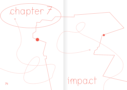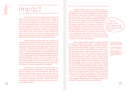## impact

The final part of the storytelling process begins the same moment you press 'save' on the computer. Having arrived at the end of the production phase, only one thing remains: that the story gets out to readers, listeners and viewers. This includes people who know very little about migration as well as experts on the topic. It also includes everyone who was interviewed for the piece, and now gets to see their input in the larger context of the story. The moment of publication is also when a story starts to have an impact. All that was done so far now comes to the test: the research phase and interactions with people, choices when crafting the story, and details or quotes that were either included or left out.

Several participants spoke about the importance of sharing quotes with the interviewees before publishing. Omar Saadeh, who filmed videos for an NGO in Lebanon, said that people featured in stories should always get a chance to see the material. "Even getting it translated word by word, like, 'this is your story, these are your quotes, this is the general introduction,'" he said. Shehrazad Siraj, the student and writer from France, said that she always wants people to read her features: "I want to make sure that I didn't make any mistakes or misunderstood something. Usually we think it's enough to get people's consent but it's important to check afterwards too." This, Siraj added, depends on whom you interviewed: "If you were talking to a rapist for example, then no. But it is always important when you interview marginalised communities."

 $78<sup>77</sup>$ Staying aware of the power dynamics of each situation helps to guide in these choices. Is the storyteller in a position of power vis-à-vis the interviewee? Then, yes, the people quoted should get a chance to see and agree with how they were cited. Or is the opposite true? If the person quoted is in a position of power – perhaps an official spokesperson or a politician speaking on the record – then the roles are reversed and the information should be published the way it was originally related.

Besides checking quotes and citations with interviewees, there are other ways to make sure that people are represented in accurate ways. Rayan Sukkar from Campji said that she always asks herself a number of questions before publishing a story: "Are the people in the story happy about how you portrayed them? If they are refugees and migrants, will it lead to any change in their lives? What will those reading or watching the video think?" Something, she said, should "connect them to the people in the story." Inga Hajdarowicz, the PhD candidate researching migration, said that her articles must be true to the experiences of people: "They need to work. I need to be able to reflect the experiences of the women I meet, as well as the organisations that opened their doors for me." Hajdarowicz said that what she writes "must be powerful enough so that it inspires other people to do similar work." This, she concluded, "is a huge responsibility."

But it happens that storytellers and media outlets fail to respect the intentions and wishes – sometimes the safety – of people. In 2018, researcher Johanna Foster and lawyer Sherizaan Minwalla published a study<sup>14</sup> on the experiences of Yazidi women who were interviewed by journalists documenting sexual violence. Eighty-five percent of the women said that journalists had done something unethical, such as pressuring them to speak or failing to protect their identities. During the 2019 terrorist attack on a hotel in Kenya's capital Nairobi, many international media outlets were criticised for publishing images of people who were killed, even as the attack was ongoing. "African victims of atrocities […] often get their death displayed for consumption with little to no regard for their privacy or the grief of their family members," media and mass atrocities fellow James Siguru Wahutu said<sup>15</sup> to the BBC then. A similar criticism was raised against The New York Times in 2018, when the paper featured a story about mental health in post-war Sri Lanka. A thread<sup>16</sup> on Twitter questioned if it was ethical to publish images of people with mental health – even if, as the paper said, they had given formal consent. Some suggested that had a local photographer contributed to the story, the approach could have been different.

"Are the people in the story happy about how you portrayed them?»

> 14 | www.sciencedirect. com/science/article/abs/ pii/S0277539517301905

15 | www.bbc.com/news/ world-africa-46889822

16 | www.twitter.com/ garikaalan/status/1070 173084420730880?s=2 1/107017308442073088 0?s=21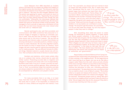Laure Makarem from ARM described an incident where a journalist did not respect the safety and integrity of the migrant woman she interviewed: "The discussion was first very broad, she asked to know the person's story and why she was in Lebanon." But then the vibe changed, Makarem said. The person was applying for asylum, and could not return to her country for political reasons. "Apparently the journalist knew that, but kept asking questions even though she was not comfortable." Afterwards, the interviewee realised that she had said more than what she wanted to say. But she knew neither the name nor the phone number of the journalist. "We managed to find it and ask to keep some information off the record. But we don't know because she never shared what she wrote with us," Makarem said.

Several participants also said that journalists and communicators with NGOs sometimes feel pressured to reproduce images of refugees or migrants as vulnerable, passive or weak. Doha Adi said that her NGO has a strategy for when donors ask for this kind of material. "We say that we have policies and internal codes of conduct that dictate not showing individuals in vulnerable positions, children crying or women as weak individuals. We only show dignified content, not the inside of a dirty or messy house, for instance." Such images, Adi said, may be used for internal documentation but not for media purposes. "We use different formats for different things. Detailed material is usually shared only with donors. Then we feature other kinds of stories on social media."

Numbers and statistics, which media outlets often rely on to underpin their stories, should also be used with similar caution. Presenting accurate data on migration and refugees is important and comes with a lot of responsibility. Numbers mean little if not put in context, and they can easily be used to promote political agendas. When presented as 'true' or 'final,' we sometimes forget that statistics and data are always subjective representations of reality, and need to be accompanied by reflections and people's stories.

 $\times$ 

 $78$  impact of a story. Effects are long-term and indirect, if any  $79$ For many journalists there is an idea, or at least hope, that their work will lead to change or betterment in the world. But it is hard, if not impossible, to measure the

at all. "As a journalist, you always want your stories to have an impact and help people's lives. But in reality they often don't. Sometimes they do, even if it's just by making people happy that someone has heard their story," the journalist Abby Sewell said. Fatima Alhaji, the journalist in Berlin, said that journalism should be relieved from the 'burden' of always having to lead to change: "Just do your work and show what's happening. Be gentle with people and what they are doing." Alhaji said that she thought a lot about whether or not journalists can contribute to social change: "At one point I got the answer. As a journalist, it is not you that make the change. You can only support people in what they want to change." "It is not you that make the change. You can only support people in what they want to change.»

Still, storytelling does retain the power to create change. As mentioned in several chapters, it raises issues and directs people's attention. In this sense, it can be a force of both bad and good. Adi from Sawa for Development and Aid said that storytellers can function as connectors between people featured in their stories and those in power. "Most refugees we work with may not have a way to reach donors and decision-makers. So we play a role, let's say, as a microphone." In the long run, she said, this can have an effect: "We have shared many interviews and testimonies with donors who actually have an impact on authorities and governments."

"We play a role, let's say, as a microphone."

Rayan Sukkar and Samih Mahmoud from Campji described how their relationship with people grew over the course of them working in the neighbourhood. "At the beginning we didn't have that big of an impact, but now we do. We have a program called 'News from the roofs' where we look critically at the news coverage. If there's an issue that we don't bring up, people write to us and ask why," Mahmoud said. "They then continue the discussion on their own, criticising politicians and mocking them." He described how once, a young man died from an electric shock in one of Beirut's camps: "His brother called us to speak and release all the tension. This is how important independent media is for citizens and refugees." Sukkar said that, "Sometimes people scold us, asking 'Why don't you come to our neighbourhood, we haven't seen you here for a while.' We are happy when they do this, because if they didn't, it would mean that they don't like our work."